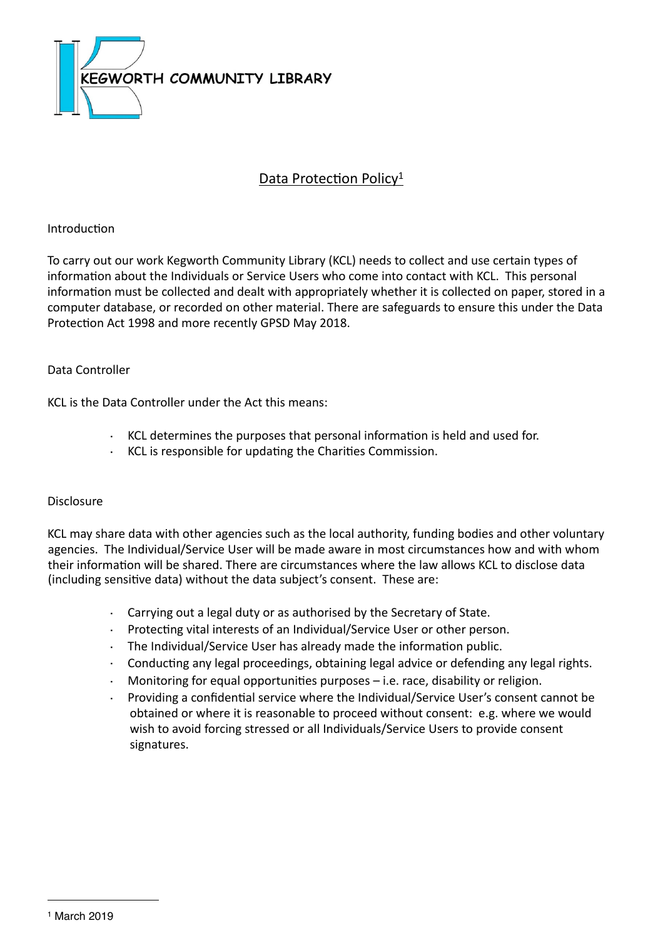

## Data Protection Policy<sup>[1](#page-0-0)</sup>

### Introduction

To carry out our work Kegworth Community Library (KCL) needs to collect and use certain types of information about the Individuals or Service Users who come into contact with KCL. This personal information must be collected and dealt with appropriately whether it is collected on paper, stored in a computer database, or recorded on other material. There are safeguards to ensure this under the Data Protection Act 1998 and more recently GPSD May 2018.

### Data Controller

KCL is the Data Controller under the Act this means:

- KCL determines the purposes that personal information is held and used for.
- $\cdot$  KCL is responsible for updating the Charities Commission.

#### Disclosure

KCL may share data with other agencies such as the local authority, funding bodies and other voluntary agencies. The Individual/Service User will be made aware in most circumstances how and with whom their information will be shared. There are circumstances where the law allows KCL to disclose data (including sensitive data) without the data subject's consent. These are:

- $\cdot$  Carrying out a legal duty or as authorised by the Secretary of State.
- Protecting vital interests of an Individual/Service User or other person.
- $\cdot$  The Individual/Service User has already made the information public.
- Conducting any legal proceedings, obtaining legal advice or defending any legal rights.
- Monitoring for equal opportunities purposes  $-$  i.e. race, disability or religion.
- <span id="page-0-0"></span>Providing a confidential service where the Individual/Service User's consent cannot be obtained or where it is reasonable to proceed without consent: e.g. where we would wish to avoid forcing stressed or all Individuals/Service Users to provide consent signatures.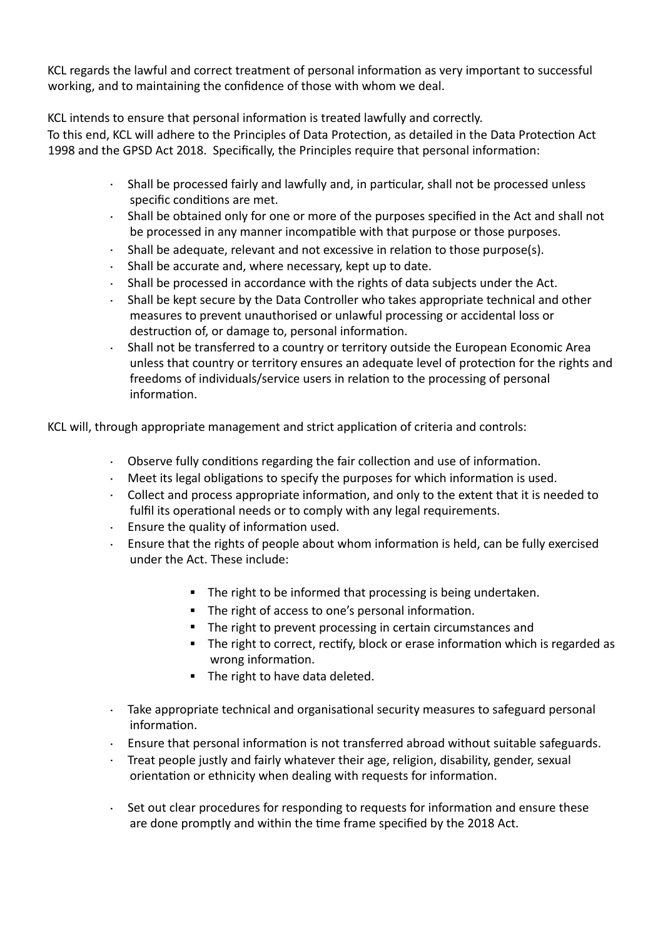KCL regards the lawful and correct treatment of personal information as very important to successful working, and to maintaining the confidence of those with whom we deal.

KCL intends to ensure that personal information is treated lawfully and correctly.

To this end, KCL will adhere to the Principles of Data Protection, as detailed in the Data Protection Act 1998 and the GPSD Act 2018. Specifically, the Principles require that personal information:

- · Shall be processed fairly and lawfully and, in particular, shall not be processed unless specific conditions are met.
- $\cdot$  Shall be obtained only for one or more of the purposes specified in the Act and shall not be processed in any manner incompatible with that purpose or those purposes.
- Shall be adequate, relevant and not excessive in relation to those purpose(s).
- $\cdot$  Shall be accurate and, where necessary, kept up to date.
- $\cdot$  Shall be processed in accordance with the rights of data subjects under the Act.
- Shall be kept secure by the Data Controller who takes appropriate technical and other measures to prevent unauthorised or unlawful processing or accidental loss or destruction of, or damage to, personal information.
- Shall not be transferred to a country or territory outside the European Economic Area unless that country or territory ensures an adequate level of protection for the rights and freedoms of individuals/service users in relation to the processing of personal information.

KCL will, through appropriate management and strict application of criteria and controls:

- $\cdot$  Observe fully conditions regarding the fair collection and use of information.
- $\cdot$  Meet its legal obligations to specify the purposes for which information is used.
- $\cdot$  Collect and process appropriate information, and only to the extent that it is needed to fulfil its operational needs or to comply with any legal requirements.
- $\cdot$  Ensure the quality of information used.
- Ensure that the rights of people about whom information is held, can be fully exercised under the Act. These include:
	- " The right to be informed that processing is being undertaken.
	- " The right of access to one's personal information.
	- " The right to prevent processing in certain circumstances and
	- . The right to correct, rectify, block or erase information which is regarded as wrong information.
	- " The right to have data deleted.
- $\cdot$  Take appropriate technical and organisational security measures to safeguard personal information.
- $\cdot$  Ensure that personal information is not transferred abroad without suitable safeguards.
- Treat people justly and fairly whatever their age, religion, disability, gender, sexual orientation or ethnicity when dealing with requests for information.
- $\cdot$  Set out clear procedures for responding to requests for information and ensure these are done promptly and within the time frame specified by the 2018 Act.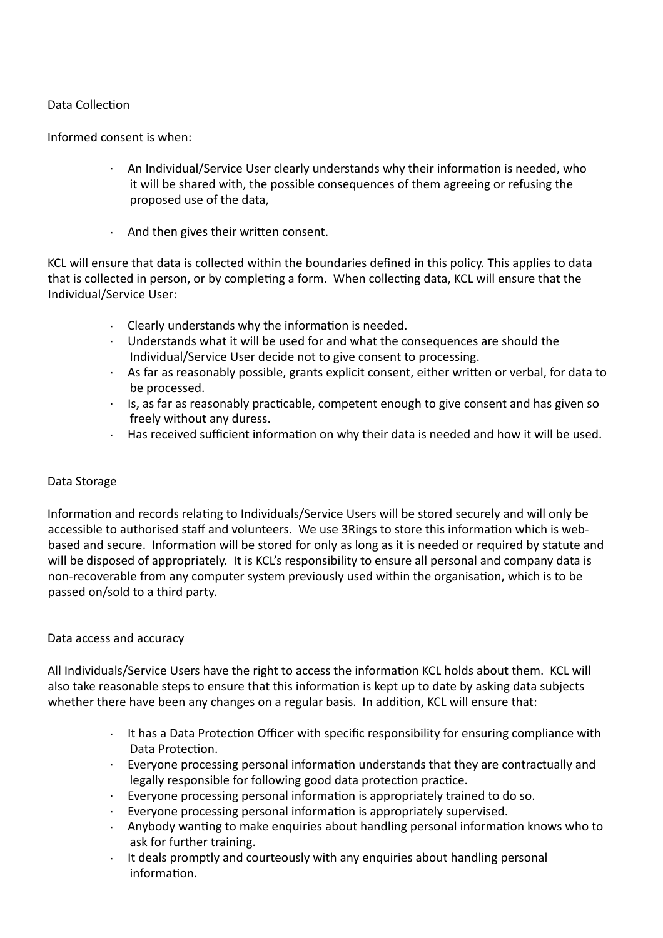## Data Collection

Informed consent is when:

- · An Individual/Service User clearly understands why their information is needed, who it will be shared with, the possible consequences of them agreeing or refusing the proposed use of the data,
- $\cdot$  And then gives their written consent.

KCL will ensure that data is collected within the boundaries defined in this policy. This applies to data that is collected in person, or by completing a form. When collecting data, KCL will ensure that the Individual/Service User:

- $\cdot$  Clearly understands why the information is needed.
- Understands what it will be used for and what the consequences are should the Individual/Service User decide not to give consent to processing.
- $\cdot$  As far as reasonably possible, grants explicit consent, either written or verbal, for data to be processed.
- · Is, as far as reasonably practicable, competent enough to give consent and has given so freely without any duress.
- $\cdot$  Has received sufficient information on why their data is needed and how it will be used.

#### Data Storage

Information and records relating to Individuals/Service Users will be stored securely and will only be accessible to authorised staff and volunteers. We use 3Rings to store this information which is webbased and secure. Information will be stored for only as long as it is needed or required by statute and will be disposed of appropriately. It is KCL's responsibility to ensure all personal and company data is non-recoverable from any computer system previously used within the organisation, which is to be passed on/sold to a third party.

#### Data access and accuracy

All Individuals/Service Users have the right to access the information KCL holds about them. KCL will also take reasonable steps to ensure that this information is kept up to date by asking data subjects whether there have been any changes on a regular basis. In addition, KCL will ensure that:

- $\cdot$  It has a Data Protection Officer with specific responsibility for ensuring compliance with Data Protection.
- Everyone processing personal information understands that they are contractually and legally responsible for following good data protection practice.
- Everyone processing personal information is appropriately trained to do so.
- Everyone processing personal information is appropriately supervised.
- Anybody wanting to make enquiries about handling personal information knows who to ask for further training.
- · It deals promptly and courteously with any enquiries about handling personal information.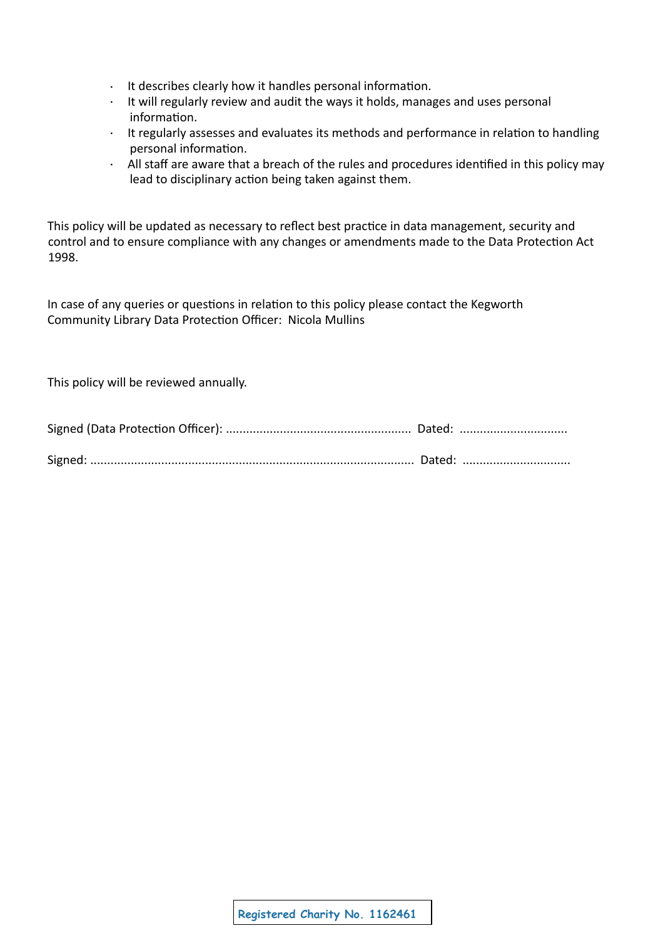- $\cdot$  It describes clearly how it handles personal information.
- $\cdot$  It will regularly review and audit the ways it holds, manages and uses personal information.
- It regularly assesses and evaluates its methods and performance in relation to handling personal information.
- · All staff are aware that a breach of the rules and procedures identified in this policy may lead to disciplinary action being taken against them.

This policy will be updated as necessary to reflect best practice in data management, security and control and to ensure compliance with any changes or amendments made to the Data Protection Act 1998.

In case of any queries or questions in relation to this policy please contact the Kegworth Community Library Data Protection Officer: Nicola Mullins

This policy will be reviewed annually.